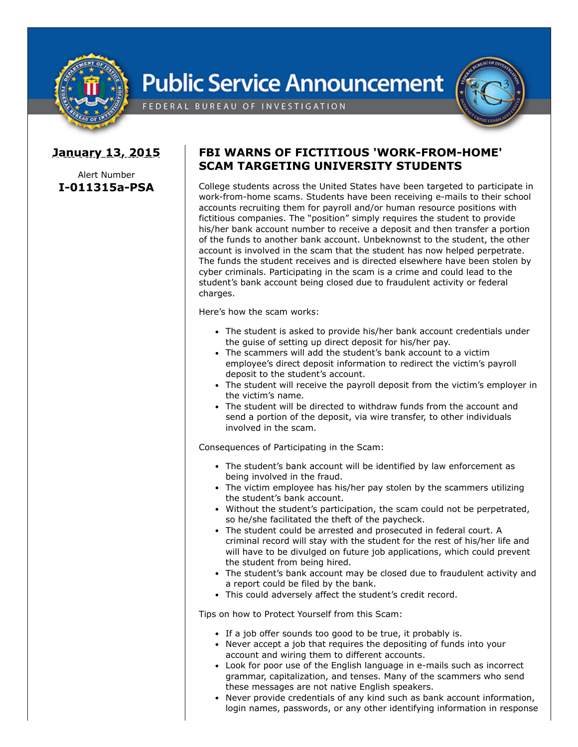

## **Public Service Announcement**



FEDERAL BUREAU OF INVESTIGATION

## **January 13, 2015**

Alert Number **I-011315a-PSA**

## **FBI WARNS OF FICTITIOUS 'WORK-FROM-HOME' SCAM TARGETING UNIVERSITY STUDENTS**

College students across the United States have been targeted to participate in work-from-home scams. Students have been receiving e-mails to their school accounts recruiting them for payroll and/or human resource positions with fictitious companies. The "position" simply requires the student to provide his/her bank account number to receive a deposit and then transfer a portion of the funds to another bank account. Unbeknownst to the student, the other account is involved in the scam that the student has now helped perpetrate. The funds the student receives and is directed elsewhere have been stolen by cyber criminals. Participating in the scam is a crime and could lead to the student's bank account being closed due to fraudulent activity or federal charges.

Here's how the scam works:

- The student is asked to provide his/her bank account credentials under the guise of setting up direct deposit for his/her pay.
- The scammers will add the student's bank account to a victim employee's direct deposit information to redirect the victim's payroll deposit to the student's account.
- The student will receive the payroll deposit from the victim's employer in the victim's name.
- The student will be directed to withdraw funds from the account and send a portion of the deposit, via wire transfer, to other individuals involved in the scam.

Consequences of Participating in the Scam:

- The student's bank account will be identified by law enforcement as being involved in the fraud.
- The victim employee has his/her pay stolen by the scammers utilizing the student's bank account.
- Without the student's participation, the scam could not be perpetrated, so he/she facilitated the theft of the paycheck.
- The student could be arrested and prosecuted in federal court. A criminal record will stay with the student for the rest of his/her life and will have to be divulged on future job applications, which could prevent the student from being hired.
- The student's bank account may be closed due to fraudulent activity and a report could be filed by the bank.
- This could adversely affect the student's credit record.

Tips on how to Protect Yourself from this Scam:

- If a job offer sounds too good to be true, it probably is.
- Never accept a job that requires the depositing of funds into your account and wiring them to different accounts.
- Look for poor use of the English language in e-mails such as incorrect grammar, capitalization, and tenses. Many of the scammers who send these messages are not native English speakers.
- Never provide credentials of any kind such as bank account information, login names, passwords, or any other identifying information in response